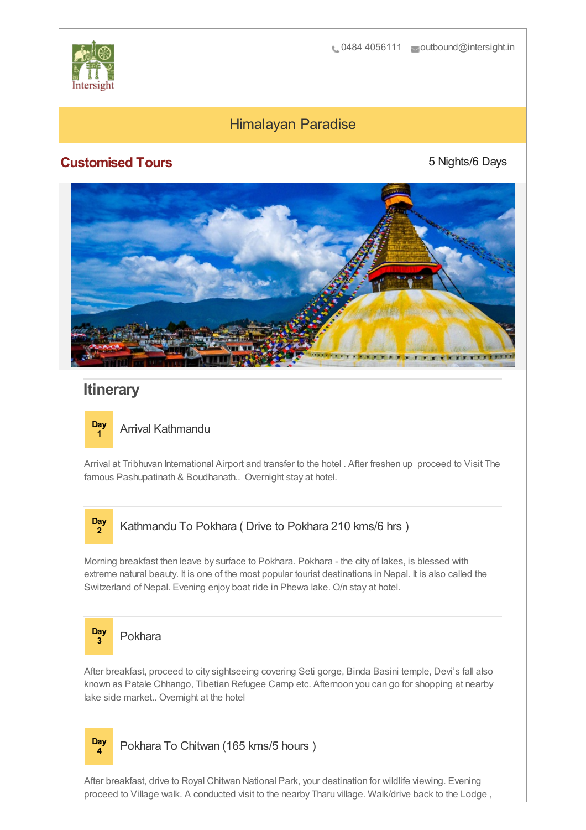

## Himalayan Paradise

## **Customised Tours**

5 Nights/6 Days



## **Itinerary**

**Day**

## **<sup>1</sup>** Arrival Kathmandu

Arrival at Tribhuvan International Airport and transfer to the hotel . After freshen up proceed to Visit The famous Pashupatinath & Boudhanath.. Overnight stay at hotel.



Morning breakfast then leave by surface to Pokhara. Pokhara - the city of lakes, is blessed with extreme natural beauty. It is one of the most popular tourist destinations in Nepal. It is also called the Switzerland of Nepal. Evening enjoy boat ride in Phewa lake. O/n stay at hotel.



After breakfast, proceed to city sightseeing covering Seti gorge, Binda Basini temple, Devi's fall also known as Patale Chhango, Tibetian Refugee Camp etc. Afternoon you can go for shopping at nearby lake side market.. Overnight at the hotel



**<sup>4</sup>** Pokhara To Chitwan (165 kms/5 hours )

After breakfast, drive to Royal Chitwan National Park, your destination for wildlife viewing. Evening proceed to Village walk. A conducted visit to the nearby Tharu village. Walk/drive back to the Lodge ,